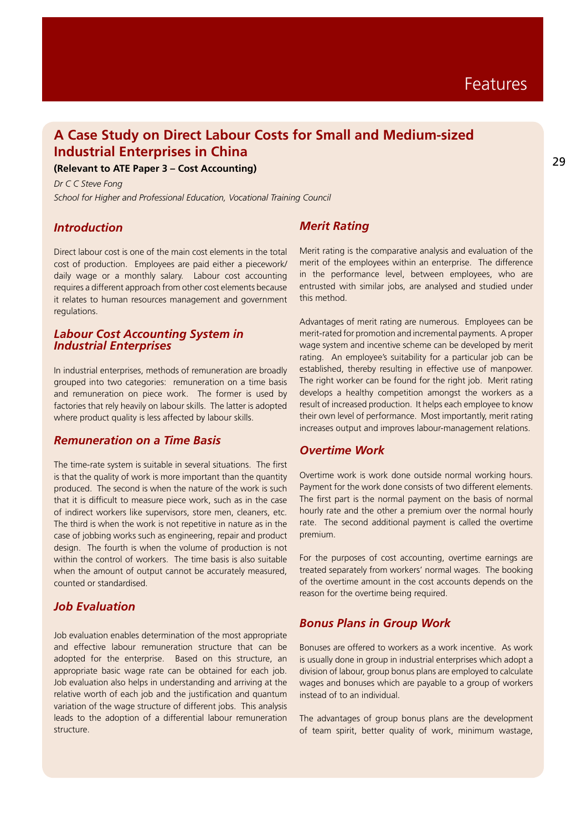# **A Case Study on Direct Labour Costs for Small and Medium-sized Industrial Enterprises in China**

**(Relevant to ATE Paper 3 – Cost Accounting)**

*Dr C C Steve Fong School for Higher and Professional Education, Vocational Training Council*

### *Introduction*

Direct labour cost is one of the main cost elements in the total cost of production. Employees are paid either a piecework/ daily wage or a monthly salary. Labour cost accounting requires a different approach from other cost elements because it relates to human resources management and government regulations.

### *Labour Cost Accounting System in Industrial Enterprises*

In industrial enterprises, methods of remuneration are broadly grouped into two categories: remuneration on a time basis and remuneration on piece work. The former is used by factories that rely heavily on labour skills. The latter is adopted where product quality is less affected by labour skills.

#### *Remuneration on a Time Basis*

The time-rate system is suitable in several situations. The first is that the quality of work is more important than the quantity produced. The second is when the nature of the work is such that it is difficult to measure piece work, such as in the case of indirect workers like supervisors, store men, cleaners, etc. The third is when the work is not repetitive in nature as in the case of jobbing works such as engineering, repair and product design. The fourth is when the volume of production is not within the control of workers. The time basis is also suitable when the amount of output cannot be accurately measured. counted or standardised.

### *Job Evaluation*

Job evaluation enables determination of the most appropriate and effective labour remuneration structure that can be adopted for the enterprise. Based on this structure, an appropriate basic wage rate can be obtained for each job. Job evaluation also helps in understanding and arriving at the relative worth of each job and the justification and quantum variation of the wage structure of different jobs. This analysis leads to the adoption of a differential labour remuneration structure.

# *Merit Rating*

Merit rating is the comparative analysis and evaluation of the merit of the employees within an enterprise. The difference in the performance level, between employees, who are entrusted with similar jobs, are analysed and studied under this method.

Advantages of merit rating are numerous. Employees can be merit-rated for promotion and incremental payments. A proper wage system and incentive scheme can be developed by merit rating. An employee's suitability for a particular job can be established, thereby resulting in effective use of manpower. The right worker can be found for the right job. Merit rating develops a healthy competition amongst the workers as a result of increased production. It helps each employee to know their own level of performance. Most importantly, merit rating increases output and improves labour-management relations.

# *Overtime Work*

Overtime work is work done outside normal working hours. Payment for the work done consists of two different elements. The first part is the normal payment on the basis of normal hourly rate and the other a premium over the normal hourly rate. The second additional payment is called the overtime premium.

For the purposes of cost accounting, overtime earnings are treated separately from workers' normal wages. The booking of the overtime amount in the cost accounts depends on the reason for the overtime being required.

## *Bonus Plans in Group Work*

Bonuses are offered to workers as a work incentive. As work is usually done in group in industrial enterprises which adopt a division of labour, group bonus plans are employed to calculate wages and bonuses which are payable to a group of workers instead of to an individual.

The advantages of group bonus plans are the development of team spirit, better quality of work, minimum wastage,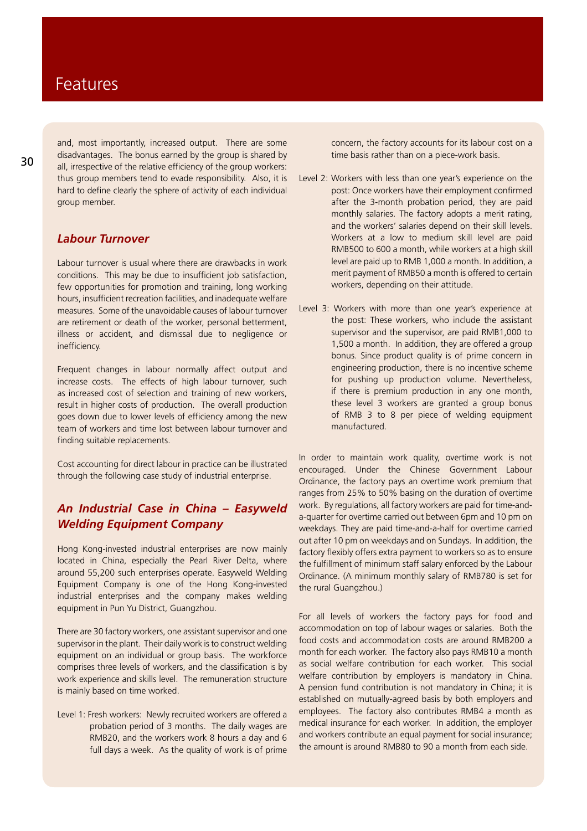and, most importantly, increased output. There are some disadvantages. The bonus earned by the group is shared by all, irrespective of the relative efficiency of the group workers: thus group members tend to evade responsibility. Also, it is hard to define clearly the sphere of activity of each individual group member.

## *Labour Turnover*

Labour turnover is usual where there are drawbacks in work conditions. This may be due to insufficient job satisfaction, few opportunities for promotion and training, long working hours, insufficient recreation facilities, and inadequate welfare measures. Some of the unavoidable causes of labour turnover are retirement or death of the worker, personal betterment, illness or accident, and dismissal due to negligence or inefficiency.

Frequent changes in labour normally affect output and increase costs. The effects of high labour turnover, such as increased cost of selection and training of new workers, result in higher costs of production. The overall production goes down due to lower levels of efficiency among the new team of workers and time lost between labour turnover and finding suitable replacements.

Cost accounting for direct labour in practice can be illustrated through the following case study of industrial enterprise.

# *An Industrial Case in China – Easyweld Welding Equipment Company*

Hong Kong-invested industrial enterprises are now mainly located in China, especially the Pearl River Delta, where around 55,200 such enterprises operate. Easyweld Welding Equipment Company is one of the Hong Kong-invested industrial enterprises and the company makes welding equipment in Pun Yu District, Guangzhou.

There are 30 factory workers, one assistant supervisor and one supervisor in the plant. Their daily work is to construct welding equipment on an individual or group basis. The workforce comprises three levels of workers, and the classification is by work experience and skills level. The remuneration structure is mainly based on time worked.

Level 1: Fresh workers: Newly recruited workers are offered a probation period of 3 months. The daily wages are RMB20, and the workers work 8 hours a day and 6 full days a week. As the quality of work is of prime

concern, the factory accounts for its labour cost on a time basis rather than on a piece-work basis.

- Level 2: Workers with less than one year's experience on the post: Once workers have their employment confirmed after the 3-month probation period, they are paid monthly salaries. The factory adopts a merit rating, and the workers' salaries depend on their skill levels. Workers at a low to medium skill level are paid RMB500 to 600 a month, while workers at a high skill level are paid up to RMB 1,000 a month. In addition, a merit payment of RMB50 a month is offered to certain workers, depending on their attitude.
- Level 3: Workers with more than one year's experience at the post: These workers, who include the assistant supervisor and the supervisor, are paid RMB1,000 to 1,500 a month. In addition, they are offered a group bonus. Since product quality is of prime concern in engineering production, there is no incentive scheme for pushing up production volume. Nevertheless, if there is premium production in any one month, these level 3 workers are granted a group bonus of RMB 3 to 8 per piece of welding equipment manufactured.-

In order to maintain work quality, overtime work is not encouraged. Under the Chinese Government Labour Ordinance, the factory pays an overtime work premium that ranges from 25% to 50% basing on the duration of overtime work. By regulations, all factory workers are paid for time-anda-quarter for overtime carried out between 6pm and 10 pm on weekdays. They are paid time-and-a-half for overtime carried out after 10 pm on weekdays and on Sundays. In addition, the factory flexibly offers extra payment to workers so as to ensure the fulfillment of minimum staff salary enforced by the Labour Ordinance. (A minimum monthly salary of RMB780 is set for the rural Guangzhou.)

For all levels of workers the factory pays for food and accommodation on top of labour wages or salaries. Both the food costs and accommodation costs are around RMB200 a month for each worker. The factory also pays RMB10 a month as social welfare contribution for each worker. This social welfare contribution by employers is mandatory in China. A pension fund contribution is not mandatory in China; it is established on mutually-agreed basis by both employers and employees. The factory also contributes RMB4 a month as medical insurance for each worker. In addition, the employer and workers contribute an equal payment for social insurance; the amount is around RMB80 to 90 a month from each side.